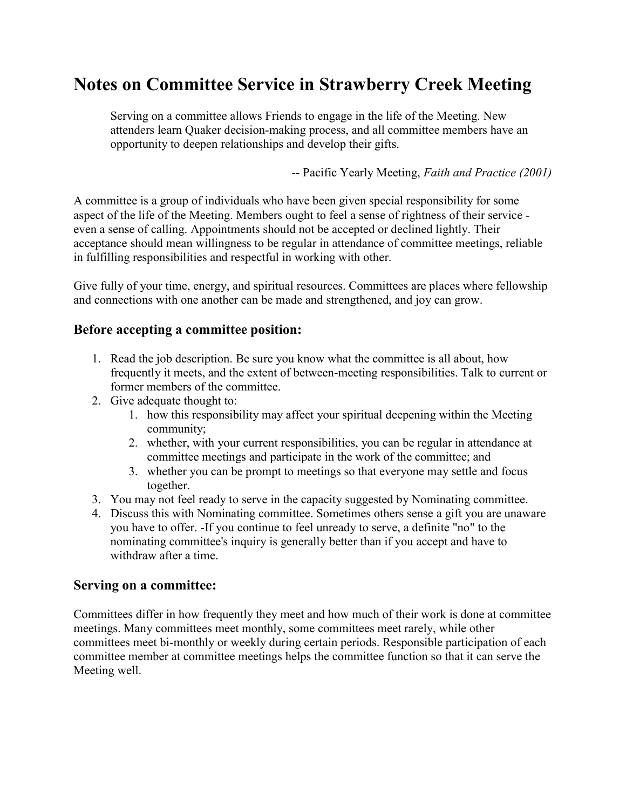## Notes on Committee Service in Strawberry Creek Meeting

Serving on a committee allows Friends to engage in the life of the Meeting. New attenders learn Quaker decision-making process, and all committee members have an opportunity to deepen relationships and develop their gifts.

-- Pacific Yearly Meeting, Faith and Practice (2001)

A committee is a group of individuals who have been given special responsibility for some aspect of the life of the Meeting. Members ought to feel a sense of rightness of their service even a sense of calling. Appointments should not be accepted or declined lightly. Their acceptance should mean willingness to be regular in attendance of committee meetings, reliable in fulfilling responsibilities and respectful in working with other.

Give fully of your time, energy, and spiritual resources. Committees are places where fellowship and connections with one another can be made and strengthened, and joy can grow.

## Before accepting a committee position:

- 1. Read the job description. Be sure you know what the committee is all about, how frequently it meets, and the extent of between-meeting responsibilities. Talk to current or former members of the committee.
- 2. Give adequate thought to:
	- 1. how this responsibility may affect your spiritual deepening within the Meeting community;
	- 2. whether, with your current responsibilities, you can be regular in attendance at committee meetings and participate in the work of the committee; and
	- 3. whether you can be prompt to meetings so that everyone may settle and focus together.
- 3. You may not feel ready to serve in the capacity suggested by Nominating committee.
- 4. Discuss this with Nominating committee. Sometimes others sense a gift you are unaware you have to offer. -If you continue to feel unready to serve, a definite "no" to the nominating committee's inquiry is generally better than if you accept and have to withdraw after a time.

## Serving on a committee:

Committees differ in how frequently they meet and how much of their work is done at committee meetings. Many committees meet monthly, some committees meet rarely, while other committees meet bi-monthly or weekly during certain periods. Responsible participation of each committee member at committee meetings helps the committee function so that it can serve the Meeting well.